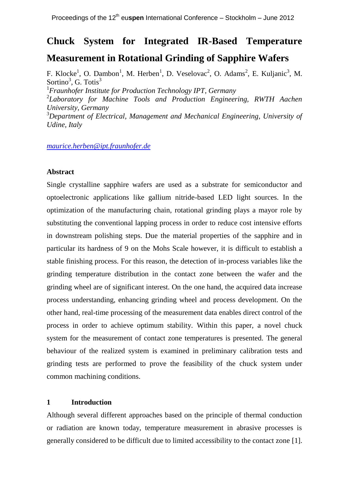# **Chuck System for Integrated IR-Based Temperature**

## **Measurement in Rotational Grinding of Sapphire Wafers**

F. Klocke<sup>1</sup>, O. Dambon<sup>1</sup>, M. Herben<sup>1</sup>, D. Veselovac<sup>2</sup>, O. Adams<sup>2</sup>, E. Kuljanic<sup>3</sup>, M. Sortino<sup>3</sup>, G. Totis<sup>3</sup> <sup>1</sup>*Fraunhofer Institute for Production Technology IPT, Germany* 2 *Laboratory for Machine Tools and Production Engineering, RWTH Aachen University, Germany* <sup>3</sup>*Department of Electrical, Management and Mechanical Engineering, University of Udine, Italy*

*[maurice.herben@ipt.fraunhofer.de](mailto:maurice.herben@ipt.fraunhofer.de)*

#### **Abstract**

Single crystalline sapphire wafers are used as a substrate for semiconductor and optoelectronic applications like gallium nitride-based LED light sources. In the optimization of the manufacturing chain, rotational grinding plays a mayor role by substituting the conventional lapping process in order to reduce cost intensive efforts in downstream polishing steps. Due the material properties of the sapphire and in particular its hardness of 9 on the Mohs Scale however, it is difficult to establish a stable finishing process. For this reason, the detection of in-process variables like the grinding temperature distribution in the contact zone between the wafer and the grinding wheel are of significant interest. On the one hand, the acquired data increase process understanding, enhancing grinding wheel and process development. On the other hand, real-time processing of the measurement data enables direct control of the process in order to achieve optimum stability. Within this paper, a novel chuck system for the measurement of contact zone temperatures is presented. The general behaviour of the realized system is examined in preliminary calibration tests and grinding tests are performed to prove the feasibility of the chuck system under common machining conditions.

### **1 Introduction**

Although several different approaches based on the principle of thermal conduction or radiation are known today, temperature measurement in abrasive processes is generally considered to be difficult due to limited accessibility to the contact zone [1].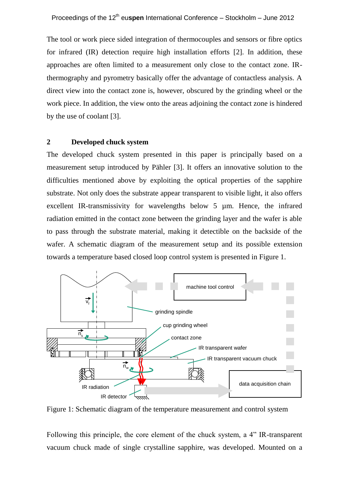The tool or work piece sided integration of thermocouples and sensors or fibre optics for infrared (IR) detection require high installation efforts [2]. In addition, these approaches are often limited to a measurement only close to the contact zone. IRthermography and pyrometry basically offer the advantage of contactless analysis. A direct view into the contact zone is, however, obscured by the grinding wheel or the work piece. In addition, the view onto the areas adjoining the contact zone is hindered by the use of coolant [3].

#### **2 Developed chuck system**

The developed chuck system presented in this paper is principally based on a measurement setup introduced by Pähler [3]. It offers an innovative solution to the difficulties mentioned above by exploiting the optical properties of the sapphire substrate. Not only does the substrate appear transparent to visible light, it also offers excellent IR-transmissivity for wavelengths below 5 µm. Hence, the infrared radiation emitted in the contact zone between the grinding layer and the wafer is able to pass through the substrate material, making it detectible on the backside of the wafer. A schematic diagram of the measurement setup and its possible extension towards a temperature based closed loop control system is presented in Figure 1.



Figure 1: Schematic diagram of the temperature measurement and control system

Following this principle, the core element of the chuck system, a 4" IR-transparent vacuum chuck made of single crystalline sapphire, was developed. Mounted on a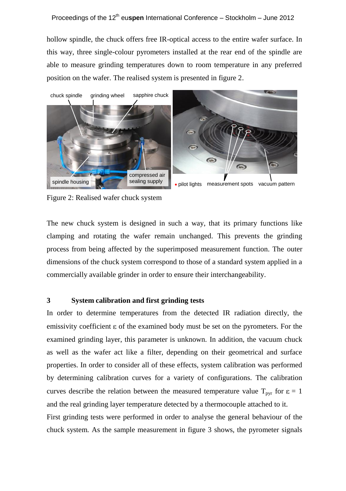hollow spindle, the chuck offers free IR-optical access to the entire wafer surface. In this way, three single-colour pyrometers installed at the rear end of the spindle are able to measure grinding temperatures down to room temperature in any preferred position on the wafer. The realised system is presented in figure 2.



Figure 2: Realised wafer chuck system

The new chuck system is designed in such a way, that its primary functions like clamping and rotating the wafer remain unchanged. This prevents the grinding process from being affected by the superimposed measurement function. The outer dimensions of the chuck system correspond to those of a standard system applied in a commercially available grinder in order to ensure their interchangeability.

#### **3 System calibration and first grinding tests**

In order to determine temperatures from the detected IR radiation directly, the emissivity coefficient  $\varepsilon$  of the examined body must be set on the pyrometers. For the examined grinding layer, this parameter is unknown. In addition, the vacuum chuck as well as the wafer act like a filter, depending on their geometrical and surface properties. In order to consider all of these effects, system calibration was performed by determining calibration curves for a variety of configurations. The calibration curves describe the relation between the measured temperature value  $T_{\text{pvr}}$  for  $\varepsilon = 1$ and the real grinding layer temperature detected by a thermocouple attached to it.

First grinding tests were performed in order to analyse the general behaviour of the chuck system. As the sample measurement in figure 3 shows, the pyrometer signals